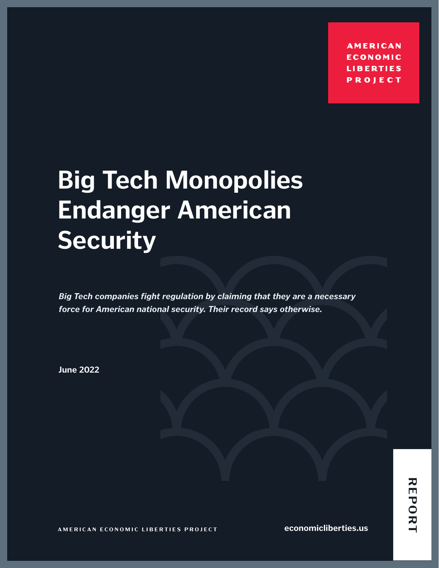**AMERICAN ECONOMIC LIBERTIES PROJECT** 

# **Big Tech Monopolies Endanger American Security**

*Big Tech companies fight regulation by claiming that they are a necessary force for American national security. Their record says otherwise.*

**June 2022**

**AMERICAN ECONOMIC LIBERTIES PROJECT**

**economicliberties.us**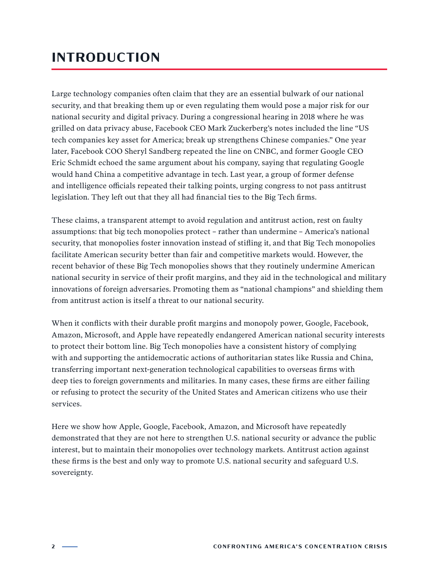### **INTRODUCTION**

Large technology companies often claim that they are an essential bulwark of our national security, and that breaking them up or even regulating them would pose a major risk for our national security and digital privacy. During a congressional hearing in 2018 where he was grilled on data privacy abuse, Facebook CEO Mark Zuckerberg's notes included the line "US tech companies key asset for America; break up strengthens Chinese companies." One year later, Facebook COO Sheryl Sandberg repeated the line on CNBC, and former Google CEO Eric Schmidt echoed the same argument about his company, saying that regulating Google would hand China a competitive advantage in tech. Last year, a group of former defense and intelligence officials repeated their talking points, urging congress to not pass antitrust legislation. They left out that they all had financial ties to the Big Tech firms.

These claims, a transparent attempt to avoid regulation and antitrust action, rest on faulty assumptions: that big tech monopolies protect – rather than undermine – America's national security, that monopolies foster innovation instead of stifling it, and that Big Tech monopolies facilitate American security better than fair and competitive markets would. However, the recent behavior of these Big Tech monopolies shows that they routinely undermine American national security in service of their profit margins, and they aid in the technological and military innovations of foreign adversaries. Promoting them as "national champions" and shielding them from antitrust action is itself a threat to our national security.

When it conflicts with their durable profit margins and monopoly power, Google, Facebook, Amazon, Microsoft, and Apple have repeatedly endangered American national security interests to protect their bottom line. Big Tech monopolies have a consistent history of complying with and supporting the antidemocratic actions of authoritarian states like Russia and China, transferring important next-generation technological capabilities to overseas firms with deep ties to foreign governments and militaries. In many cases, these firms are either failing or refusing to protect the security of the United States and American citizens who use their services.

Here we show how Apple, Google, Facebook, Amazon, and Microsoft have repeatedly demonstrated that they are not here to strengthen U.S. national security or advance the public interest, but to maintain their monopolies over technology markets. Antitrust action against these firms is the best and only way to promote U.S. national security and safeguard U.S. sovereignty.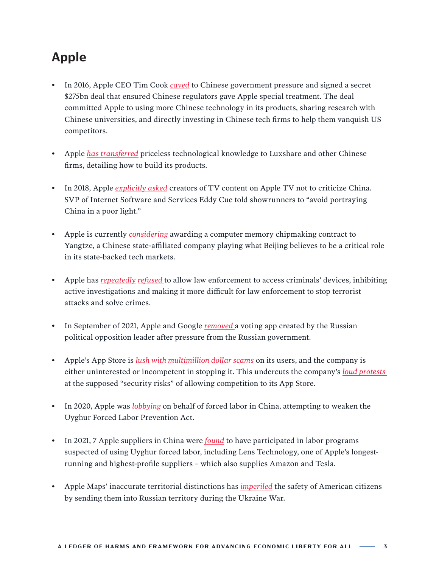## **Apple**

- In 2016, Apple CEO Tim Cook *[caved](https://www.theinformation.com/articles/facing-hostile-chinese-authorities-apple-ceo-signed-275-billion-deal-with-them?rc=gwgv4s)* to Chinese government pressure and signed a secret \$275bn deal that ensured Chinese regulators gave Apple special treatment. The deal committed Apple to using more Chinese technology in its products, sharing research with Chinese universities, and directly investing in Chinese tech firms to help them vanquish US competitors.
- Apple *[has transferred](https://www.theinformation.com/articles/how-apple-grew-closer-to-china-by-turning-little-foxconn-into-a-national-champion?rc=gwgv4s)* priceless technological knowledge to Luxshare and other Chinese firms, detailing how to build its products.
- In 2018, Apple *[explicitly asked](https://www.buzzfeednews.com/article/alexkantrowitz/apple-china-tv-protesters-hong-kong-tim-cook)* creators of TV content on Apple TV not to criticize China. SVP of Internet Software and Services Eddy Cue told showrunners to "avoid portraying China in a poor light."
- Apple is currently *[considering](https://www.bloomberg.com/news/articles/2022-03-31/apple-said-to-weigh-more-memory-chip-suppliers-including-china?cmpid=BBD033122_OUS&utm_medium=email&utm_source=newsletter&utm_term=220331&utm_campaign=openamericas&sref=q0qR8k34)* awarding a computer memory chipmaking contract to Yangtze, a Chinese state-affiliated company playing what Beijing believes to be a critical role in its state-backed tech markets.
- Apple has *[repeatedly](https://www.cnbc.com/2016/03/29/apple-vs-fbi-all-you-need-to-know.html) [refused](https://www.cnbc.com/2020/01/14/apple-refuses-barr-request-to-unlock-pensacola-shooters-iphones.html)* to allow law enforcement to access criminals' devices, inhibiting active investigations and making it more difficult for law enforcement to stop terrorist attacks and solve crimes.
- In September of 2021, Apple and Google *[removed](https://www.google.com/search?q=o+In+September%2C+Apple+and+Google+removed+a+voting+app+created+by+the+Russian+political+opposition+leader+after+pressure+from+the+Russian+government&oq=o%09In+September%2C+Apple+and+Google+removed+a+voting+app+created+by+the+Russian+political+opposition+leader+after+pressure+from+the+Russian+government&aqs=chrome..69i57j69i64.242j0j7&sourceid=chrome&ie=UTF-8)* a voting app created by the Russian political opposition leader after pressure from the Russian government.
- Apple's App Store is *[lush with multimillion dollar scams](https://www.theverge.com/2021/4/21/22385859/apple-app-store-scams-fraud-review-enforcement-top-grossing-kosta-eleftheriou)* on its users, and the company is either uninterested or incompetent in stopping it. This undercuts the company's *[loud protests](https://www.businessinsider.com/tim-cook-apple-antitrust-regulators-app-store-sideloading-2022-4)*  at the supposed "security risks" of allowing competition to its App Store.
- In 2020, Apple was *[lobbying](https://www.washingtonpost.com/technology/2020/11/20/apple-uighur/)* on behalf of forced labor in China, attempting to weaken the Uyghur Forced Labor Prevention Act.
- In 2021, 7 Apple suppliers in China were *[found](https://www.theinformation.com/articles/seven-apple-suppliers-accused-of-using-forced-labor-from-xinjiang?rc=gwgv4s)* to have participated in labor programs suspected of using Uyghur forced labor, including Lens Technology, one of Apple's longestrunning and highest-profile suppliers – which also supplies Amazon and Tesla.
- Apple Maps' inaccurate territorial distinctions has *[imperiled](https://www.axios.com/jose-andres-beef-apple-maps-8f47a198-b153-49fd-9e49-7b1ca822e8fb.html?utm_source=twitter&utm_medium=social&utm_campaign=editorial&utm_content=technology-apple)* the safety of American citizens by sending them into Russian territory during the Ukraine War.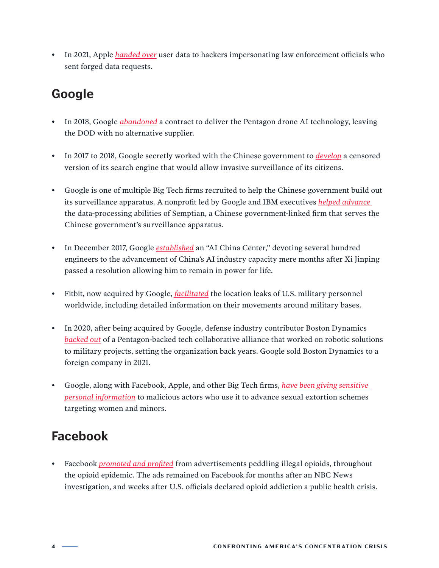• In 2021, Apple *[handed over](https://www.bloomberg.com/news/articles/2022-03-30/apple-meta-gave-user-data-to-hackers-who-forged-legal-requests?sref=q0qR8k34)* user data to hackers impersonating law enforcement officials who sent forged data requests.

#### **Google**

- In 2018, Google *[abandoned](https://www.bloomberg.com/news/articles/2022-03-30/apple-meta-gave-user-data-to-hackers-who-forged-legal-requests?sref=q0qR8k34)* a contract to deliver the Pentagon drone AI technology, leaving the DOD with no alternative supplier.
- In 2017 to 2018, Google secretly worked with the Chinese government to *[develop](https://theintercept.com/2018/08/01/google-china-search-engine-censorship/)* a censored version of its search engine that would allow invasive surveillance of its citizens.
- Google is one of multiple Big Tech firms recruited to help the Chinese government build out its surveillance apparatus. A nonprofit led by Google and IBM executives *[helped advance](https://theintercept.com/2019/07/11/china-surveillance-google-ibm-semptian/)*  the data-processing abilities of Semptian, a Chinese government-linked firm that serves the Chinese government's surveillance apparatus.
- In December 2017, Google *[established](https://www.theverge.com/2017/12/13/16771134/google-ai-lab-china-research-center)* an "AI China Center," devoting several hundred engineers to the advancement of China's AI industry capacity mere months after Xi Jinping passed a resolution allowing him to remain in power for life.
- Fitbit, now acquired by Google, *[facilitated](https://www.washingtonpost.com/world/a-map-showing-the-users-of-fitness-devices-lets-the-world-see-where-us-soldiers-are-and-what-they-are-doing/2018/01/28/86915662-0441-11e8-aa61-f3391373867e_story.html)* the location leaks of U.S. military personnel worldwide, including detailed information on their movements around military bases.
- In 2020, after being acquired by Google, defense industry contributor Boston Dynamics *[backed out](https://www.military.com/daily-news/2014/11/10/army-robotics-researchers-look-far-into-the-future.html)* of a Pentagon-backed tech collaborative alliance that worked on robotic solutions to military projects, setting the organization back years. Google sold Boston Dynamics to a foreign company in 2021.
- Google, along with Facebook, Apple, and other Big Tech firms, *[have been giving sensitive](https://www.bloomberg.com/news/articles/2022-04-26/tech-giants-duped-by-forged-requests-in-sexual-extortion-scheme?sref=q0qR8k34)  [personal information](https://www.bloomberg.com/news/articles/2022-04-26/tech-giants-duped-by-forged-requests-in-sexual-extortion-scheme?sref=q0qR8k34)* to malicious actors who use it to advance sexual extortion schemes targeting women and minors.

### **Facebook**

• Facebook *[promoted and profited](https://www.cnbc.com/2017/11/14/facebook-full-of-illegal-opioids.html)* from advertisements peddling illegal opioids, throughout the opioid epidemic. The ads remained on Facebook for months after an NBC News investigation, and weeks after U.S. officials declared opioid addiction a public health crisis.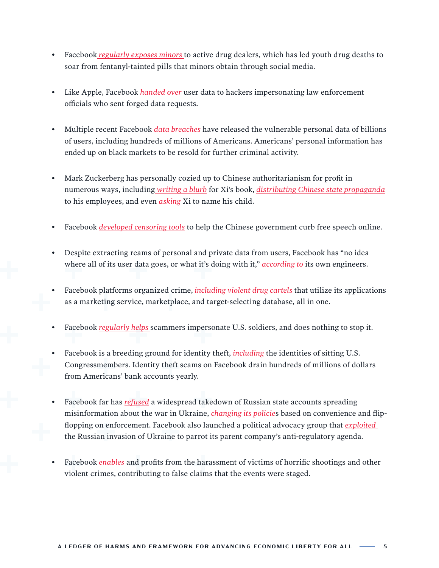- Facebook *[regularly exposes minors](https://www.nytimes.com/2022/05/19/health/pills-fentanyl-social-media.html)* to active drug dealers, which has led youth drug deaths to soar from fentanyl-tainted pills that minors obtain through social media.
- Like Apple, Facebook *[handed over](https://www.bloomberg.com/news/articles/2022-03-30/apple-meta-gave-user-data-to-hackers-who-forged-legal-requests?sref=q0qR8k34)* user data to hackers impersonating law enforcement officials who sent forged data requests.
- Multiple recent Facebook *[data breaches](https://firewalltimes.com/facebook-data-breach-timeline/)* have released the vulnerable personal data of billions of users, including hundreds of millions of Americans. Americans' personal information has ended up on black markets to be resold for further criminal activity.
- Mark Zuckerberg has personally cozied up to Chinese authoritarianism for profit in numerous ways, including *[writing a blurb](https://www.amazon.com/Xi-Jinping-Governance-English-Language/dp/1602204098)* for Xi's book, *[distributing Chinese state propaganda](https://qz.com/308023/facebook-is-making-employees-read-chinese-propaganda-to-impress-beijing/amp/)* to his employees, and even *[asking](https://www.nytimes.com/2015/10/27/technology/facebook-zuckerberg-china-speech-tsinghua.html)* Xi to name his child.
- Facebook *[developed censoring tools](https://www.nytimes.com/2016/11/22/technology/facebook-censorship-tool-china.html)* to help the Chinese government curb free speech online.
- Despite extracting reams of personal and private data from users, Facebook has "no idea where all of its user data goes, or what it's doing with it," *[according to](https://www.vice.com/en/article/akvmke/facebook-doesnt-know-what-it-does-with-your-data-or-where-it-goes)* its own engineers.
- Facebook platforms organized crime, *[including violent drug cartels](https://foreignpolicy.com/2020/12/15/latin-american-drug-cartels-instagram-facebook-tiktok-social-media-crime/)* that utilize its applications as a marketing service, marketplace, and target-selecting database, all in one.
- Facebook *[regularly helps](https://www.nytimes.com/2019/07/28/technology/facebook-military-scam.html)* scammers impersonate U.S. soldiers, and does nothing to stop it.
- Facebook is a breeding ground for identity theft, *[including](https://www.cbsnews.com/news/a-growing-problem-for-facebook-users-identity-scams/)* the identities of sitting U.S. Congressmembers. Identity theft scams on Facebook drain hundreds of millions of dollars from Americans' bank accounts yearly.
- Facebook far has *[refused](https://www.ft.com/content/49c7069f-3f39-4eb5-bab1-4d1edb98ba8a)* a widespread takedown of Russian state accounts spreading misinformation about the war in Ukraine, *[changing its policie](https://www.nytimes.com/2022/03/30/technology/ukraine-russia-facebook-instagram.html)*s based on convenience and flipflopping on enforcement. Facebook also launched a political advocacy group that *[exploited](https://responsiblestatecraft.org/2022/04/07/how-facebook-and-weapons-industry-are-profiting-from-the-ukraine-war/)*  the Russian invasion of Ukraine to parrot its parent company's anti-regulatory agenda.
- Facebook *[enables](https://www.nytimes.com/2018/02/23/technology/trolls-step-ahead-facebook-youtube-florida-shooting.html)* and profits from the harassment of victims of horrific shootings and other violent crimes, contributing to false claims that the events were staged.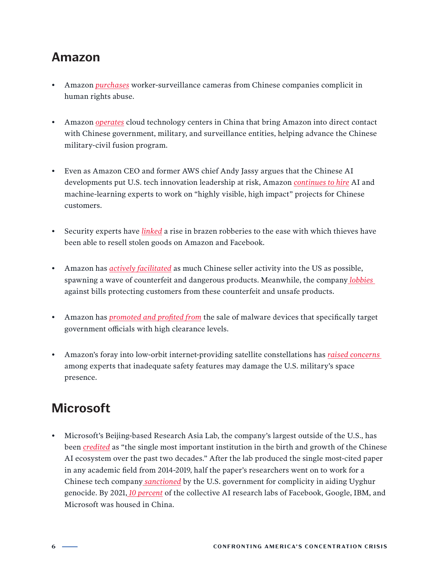#### **Amazon**

- Amazon *[purchases](https://www.latimes.com/business/technology/story/2021-02-10/senators-amazon-dahua-inquiry-uighurs-rubio-menendez)* worker-surveillance cameras from Chinese companies complicit in human rights abuse.
- Amazon *[operates](https://horizonindex.com/research/reports)* cloud technology centers in China that bring Amazon into direct contact with Chinese government, military, and surveillance entities, helping advance the Chinese military-civil fusion program.
- Even as Amazon CEO and former AWS chief Andy Jassy argues that the Chinese AI developments put U.S. tech innovation leadership at risk, Amazon *[continues to hire](https://www.protocol.com/enterprise/aws-microsoft-china-ai-cloud)* AI and machine-learning experts to work on "highly visible, high impact" projects for Chinese customers.
- Security experts have *[linked](https://www.nytimes.com/2021/12/03/business/retailers-robberies-theft.html)* a rise in brazen robberies to the ease with which thieves have been able to resell stolen goods on Amazon and Facebook.
- Amazon has *[actively facilitated](https://www.nytimes.com/2021/12/03/business/retailers-robberies-theft.html)* as much Chinese seller activity into the US as possible, spawning a wave of counterfeit and dangerous products. Meanwhile, the company *[lobbies](https://www.seattletimes.com/business/a-watered-down-counterfeit-crackdown-wins-the-support-of-amazon-other-sites/)*  against bills protecting customers from these counterfeit and unsafe products.
- Amazon has *[promoted and profited from](https://krebsonsecurity.com/2022/05/when-your-smart-id-card-reader-comes-with-malware/)* the sale of malware devices that specifically target government officials with high clearance levels.
- Amazon's foray into low-orbit internet-providing satellite constellations has *[raised concerns](https://www.boisestatepublicradio.org/2022-04-06/amazons-planned-satellite-fleet-has-some-experts-concerned-about-space-congestion)*  among experts that inadequate safety features may damage the U.S. military's space presence.

### **Microsoft**

• Microsoft's Beijing-based Research Asia Lab, the company's largest outside of the U.S., has been *[credited](https://macropolo.org/china-ai-research-resnet/?rp=e)* as "the single most important institution in the birth and growth of the Chinese AI ecosystem over the past two decades." After the lab produced the single most-cited paper in any academic field from 2014-2019, half the paper's researchers went on to work for a Chinese tech company *[sanctioned](https://home.treasury.gov/news/press-releases/jy0538)* by the U.S. government for complicity in aiding Uyghur genocide. By 2021, *[10 percent](https://www.defenseone.com/ideas/2021/08/pull-us-ai-research-out-china/184359/)* of the collective AI research labs of Facebook, Google, IBM, and Microsoft was housed in China.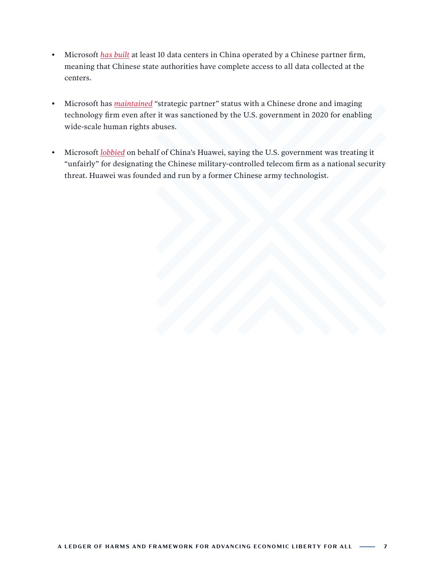- Microsoft *[has built](https://thefederalist.com/2022/02/08/report-shows-how-top-u-s-companies-endanger-the-world-by-transferring-tech-to-china/)* at least 10 data centers in China operated by a Chinese partner firm, meaning that Chinese state authorities have complete access to all data collected at the centers.
- Microsoft has *[maintained](https://thefederalist.com/2022/02/08/report-shows-how-top-u-s-companies-endanger-the-world-by-transferring-tech-to-china/)* "strategic partner" status with a Chinese drone and imaging technology firm even after it was sanctioned by the U.S. government in 2020 for enabling wide-scale human rights abuses.
- Microsoft *[lobbied](https://www.bloomberg.com/news/articles/2019-09-08/microsoft-says-trump-is-treating-huawei-unfairly?sref=q0qR8k34)* on behalf of China's Huawei, saying the U.S. government was treating it "unfairly" for designating the Chinese military-controlled telecom firm as a national security threat. Huawei was founded and run by a former Chinese army technologist.